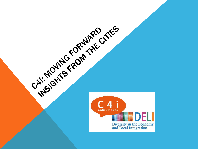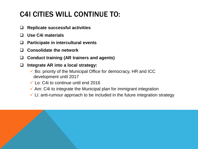# C4I CITIES WILL CONTINUE TO:

- **Replicate successful activities**
- **Use C4i materials**
- **Participate in intercultural events**
- **Consolidate the network**
- **Conduct training (AR trainers and agents)**
- **Integrate AR into a local strategy:**
	- $\checkmark$  Bo: priority of the Municipal Office for democracy, HR and ICC development until 2017
	- $\checkmark$  Lo: C4i to continue until end 2016
	- $\checkmark$  Am: C4i to integrate the Municipal plan for immigrant integration
	- $\checkmark$  Li: anti-rumour approach to be included in the future integration strategy

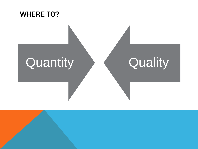

# Quantity > < Quality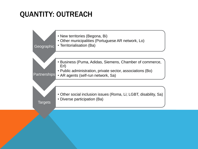## QUANTITY: OUTREACH

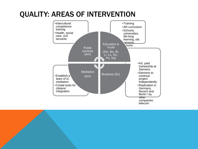### QUALITY: AREAS OF INTERVENTION